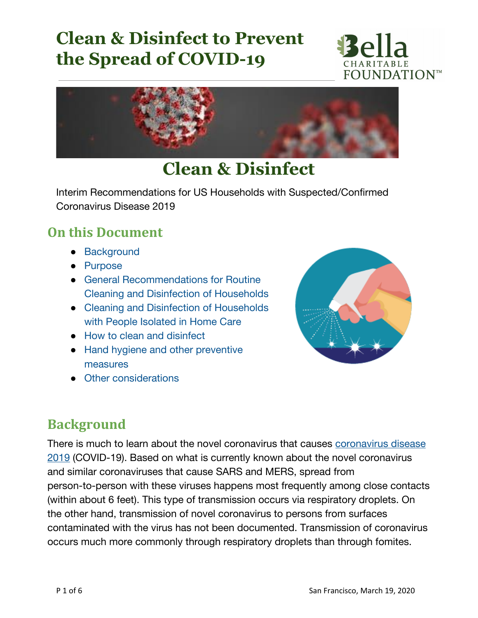



## **Clean & Disinfect**

Interim Recommendations for US Households with Suspected/Confirmed Coronavirus Disease 2019

#### **On this Document**

- [Background](https://www.cdc.gov/coronavirus/2019-ncov/prepare/cleaning-disinfection.html?CDC_AA_refVal=https%3A%2F%2Fwww.cdc.gov%2Fcoronavirus%2F2019-ncov%2Fcommunity%2Fhome%2Fcleaning-disinfection.html#background)
- [Purpose](https://www.cdc.gov/coronavirus/2019-ncov/prepare/cleaning-disinfection.html?CDC_AA_refVal=https%3A%2F%2Fwww.cdc.gov%2Fcoronavirus%2F2019-ncov%2Fcommunity%2Fhome%2Fcleaning-disinfection.html#purpose)
- General [Recommendations](https://www.cdc.gov/coronavirus/2019-ncov/prepare/cleaning-disinfection.html?CDC_AA_refVal=https%3A%2F%2Fwww.cdc.gov%2Fcoronavirus%2F2019-ncov%2Fcommunity%2Fhome%2Fcleaning-disinfection.html#routine-cleaning) for Routine Cleaning and Disinfection of [Households](https://www.cdc.gov/coronavirus/2019-ncov/prepare/cleaning-disinfection.html?CDC_AA_refVal=https%3A%2F%2Fwww.cdc.gov%2Fcoronavirus%2F2019-ncov%2Fcommunity%2Fhome%2Fcleaning-disinfection.html#routine-cleaning)
- Cleaning and Disinfection of [Households](https://www.cdc.gov/coronavirus/2019-ncov/prepare/cleaning-disinfection.html?CDC_AA_refVal=https%3A%2F%2Fwww.cdc.gov%2Fcoronavirus%2F2019-ncov%2Fcommunity%2Fhome%2Fcleaning-disinfection.html#isolated) with People [Isolated](https://www.cdc.gov/coronavirus/2019-ncov/prepare/cleaning-disinfection.html?CDC_AA_refVal=https%3A%2F%2Fwww.cdc.gov%2Fcoronavirus%2F2019-ncov%2Fcommunity%2Fhome%2Fcleaning-disinfection.html#isolated) in Home Care
- How to clean and [disinfect](https://www.cdc.gov/coronavirus/2019-ncov/prepare/cleaning-disinfection.html?CDC_AA_refVal=https%3A%2F%2Fwww.cdc.gov%2Fcoronavirus%2F2019-ncov%2Fcommunity%2Fhome%2Fcleaning-disinfection.html#disinfect)
- Hand hygiene and other [preventive](https://www.cdc.gov/coronavirus/2019-ncov/prepare/cleaning-disinfection.html?CDC_AA_refVal=https%3A%2F%2Fwww.cdc.gov%2Fcoronavirus%2F2019-ncov%2Fcommunity%2Fhome%2Fcleaning-disinfection.html#hygiene) [measures](https://www.cdc.gov/coronavirus/2019-ncov/prepare/cleaning-disinfection.html?CDC_AA_refVal=https%3A%2F%2Fwww.cdc.gov%2Fcoronavirus%2F2019-ncov%2Fcommunity%2Fhome%2Fcleaning-disinfection.html#hygiene)
- Other [considerations](https://www.cdc.gov/coronavirus/2019-ncov/prepare/cleaning-disinfection.html?CDC_AA_refVal=https%3A%2F%2Fwww.cdc.gov%2Fcoronavirus%2F2019-ncov%2Fcommunity%2Fhome%2Fcleaning-disinfection.html#considerations)



#### **Background**

There is much to learn about the novel coronavirus that causes [coronavirus](https://www.cdc.gov/coronavirus/2019-ncov/prepare/transmission.html) disease [2019](https://www.cdc.gov/coronavirus/2019-ncov/prepare/transmission.html) (COVID-19). Based on what is currently known about the novel coronavirus and similar coronaviruses that cause SARS and MERS, spread from person-to-person with these viruses happens most frequently among close contacts (within about 6 feet). This type of transmission occurs via respiratory droplets. On the other hand, transmission of novel coronavirus to persons from surfaces contaminated with the virus has not been documented. Transmission of coronavirus occurs much more commonly through respiratory droplets than through fomites.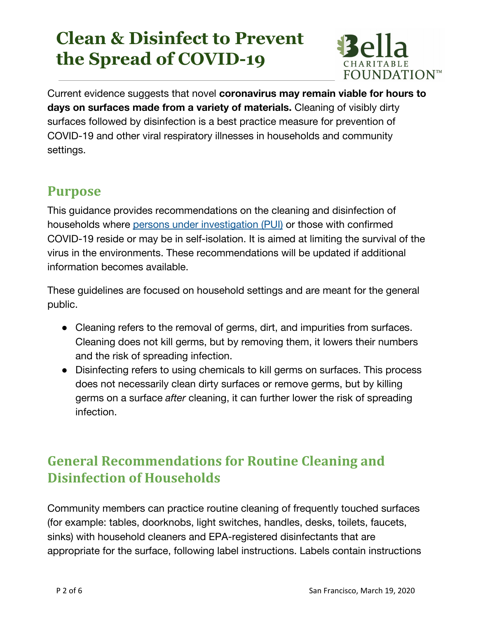

Current evidence suggests that novel **coronavirus may remain viable for hours to days on surfaces made from a variety of materials.** Cleaning of visibly dirty surfaces followed by disinfection is a best practice measure for prevention of COVID-19 and other viral respiratory illnesses in households and community settings.

#### **Purpose**

This guidance provides recommendations on the cleaning and disinfection of households where persons under [investigation](https://www.cdc.gov/coronavirus/2019-ncov/hcp/clinical-criteria.html) (PUI) or those with confirmed COVID-19 reside or may be in self-isolation. It is aimed at limiting the survival of the virus in the environments. These recommendations will be updated if additional information becomes available.

These guidelines are focused on household settings and are meant for the general public.

- Cleaning refers to the removal of germs, dirt, and impurities from surfaces. Cleaning does not kill germs, but by removing them, it lowers their numbers and the risk of spreading infection.
- Disinfecting refers to using chemicals to kill germs on surfaces. This process does not necessarily clean dirty surfaces or remove germs, but by killing germs on a surface *after* cleaning, it can further lower the risk of spreading infection.

## **General Recommendations for Routine Cleaning and Disinfection of Households**

Community members can practice routine cleaning of frequently touched surfaces (for example: tables, doorknobs, light switches, handles, desks, toilets, faucets, sinks) with household cleaners and EPA-registered disinfectants that are appropriate for the surface, following label instructions. Labels contain instructions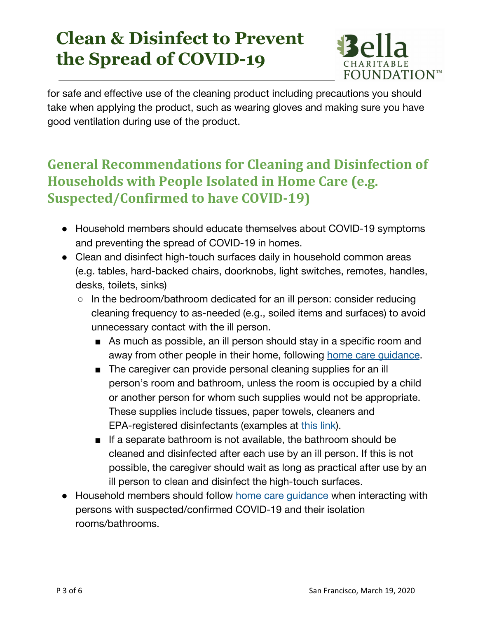

for safe and effective use of the cleaning product including precautions you should take when applying the product, such as wearing gloves and making sure you have good ventilation during use of the product.

## **General Recommendations for Cleaning and Disinfection of Households with People Isolated in Home Care (e.g. Suspected/Confirmed to have COVID-19)**

- Household members should educate themselves about COVID-19 symptoms and preventing the spread of COVID-19 in homes.
- Clean and disinfect high-touch surfaces daily in household common areas (e.g. tables, hard-backed chairs, doorknobs, light switches, remotes, handles, desks, toilets, sinks)
	- $\circ$  In the bedroom/bathroom dedicated for an ill person: consider reducing cleaning frequency to as-needed (e.g., soiled items and surfaces) to avoid unnecessary contact with the ill person.
		- As much as possible, an ill person should stay in a specific room and away from other people in their home, following home care quidance.
		- The caregiver can provide personal cleaning supplies for an ill person's room and bathroom, unless the room is occupied by a child or another person for whom such supplies would not be appropriate. These supplies include tissues, paper towels, cleaners and EPA-registered disinfectants (examples at [this](https://www.americanchemistry.com/Novel-Coronavirus-Fighting-Products-List.pdf) link).
		- If a separate bathroom is not available, the bathroom should be cleaned and disinfected after each use by an ill person. If this is not possible, the caregiver should wait as long as practical after use by an ill person to clean and disinfect the high-touch surfaces.
- Household members should follow home care [guidance](https://www.cdc.gov/coronavirus/2019-ncov/hcp/guidance-prevent-spread.html) when interacting with persons with suspected/confirmed COVID-19 and their isolation rooms/bathrooms.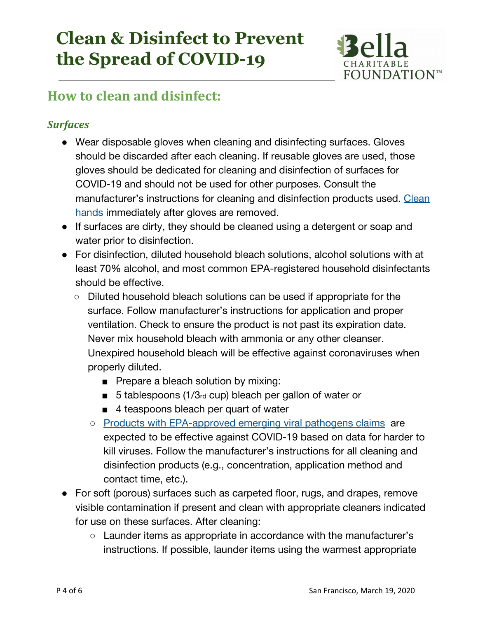

#### **How to clean and disinfect:**

#### *Surfaces*

- Wear disposable gloves when cleaning and disinfecting surfaces. Gloves should be discarded after each cleaning. If reusable gloves are used, those gloves should be dedicated for cleaning and disinfection of surfaces for COVID-19 and should not be used for other purposes. Consult the manufacturer's instructions for cleaning and disinfection products used. [Clean](https://www.cdc.gov/handwashing/when-how-handwashing.html) [hands](https://www.cdc.gov/handwashing/when-how-handwashing.html) immediately after gloves are removed.
- If surfaces are dirty, they should be cleaned using a detergent or soap and water prior to disinfection.
- For disinfection, diluted household bleach solutions, alcohol solutions with at least 70% alcohol, and most common EPA-registered household disinfectants should be effective.
	- Diluted household bleach solutions can be used if appropriate for the surface. Follow manufacturer's instructions for application and proper ventilation. Check to ensure the product is not past its expiration date. Never mix household bleach with ammonia or any other cleanser. Unexpired household bleach will be effective against coronaviruses when properly diluted.
		- Prepare a bleach solution by mixing:
		- 5 tablespoons (1/3rd cup) bleach per gallon of water or
		- 4 teaspoons bleach per quart of water
		- Products with [EPA-approved](https://www.epa.gov/sites/production/files/2020-03/documents/sars-cov-2-list_03-03-2020.pdf) emerging viral pathogens claims are expected to be effective against COVID-19 based on data for harder to kill viruses. Follow the manufacturer's instructions for all cleaning and disinfection products (e.g., concentration, application method and contact time, etc.).
- For soft (porous) surfaces such as carpeted floor, rugs, and drapes, remove visible contamination if present and clean with appropriate cleaners indicated for use on these surfaces. After cleaning:
	- Launder items as appropriate in accordance with the manufacturer's instructions. If possible, launder items using the warmest appropriate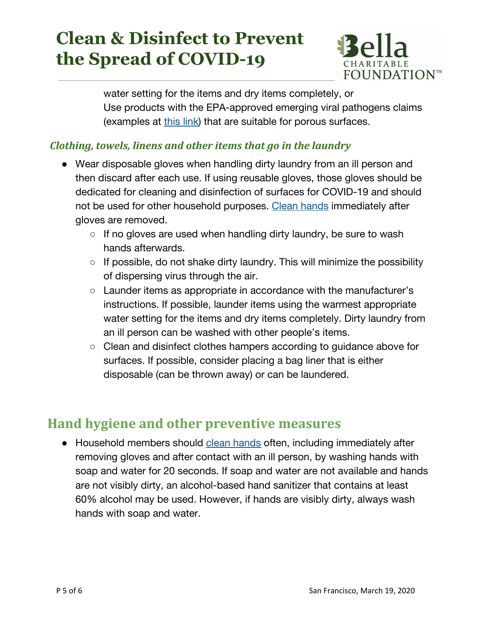

water setting for the items and dry items completely, or Use products with the EPA-approved emerging viral pathogens claims (examples at [this](https://www.americanchemistry.com/Novel-Coronavirus-Fighting-Products-List.pdf) link) that are suitable for porous surfaces.

#### *Clothing, towels, linens and other items that go in the laundry*

- Wear disposable gloves when handling dirty laundry from an ill person and then discard after each use. If using reusable gloves, those gloves should be dedicated for cleaning and disinfection of surfaces for COVID-19 and should not be used for other household purposes. Clean [hands](https://www.cdc.gov/handwashing/when-how-handwashing.html) immediately after gloves are removed.
	- $\circ$  If no gloves are used when handling dirty laundry, be sure to wash hands afterwards.
	- $\circ$  If possible, do not shake dirty laundry. This will minimize the possibility of dispersing virus through the air.
	- Launder items as appropriate in accordance with the manufacturer's instructions. If possible, launder items using the warmest appropriate water setting for the items and dry items completely. Dirty laundry from an ill person can be washed with other people's items.
	- Clean and disinfect clothes hampers according to guidance above for surfaces. If possible, consider placing a bag liner that is either disposable (can be thrown away) or can be laundered.

#### **Hand hygiene and other preventive measures**

● Household members should clean [hands](https://www.cdc.gov/handwashing/when-how-handwashing.html) often, including immediately after removing gloves and after contact with an ill person, by washing hands with soap and water for 20 seconds. If soap and water are not available and hands are not visibly dirty, an alcohol-based hand sanitizer that contains at least 60% alcohol may be used. However, if hands are visibly dirty, always wash hands with soap and water.